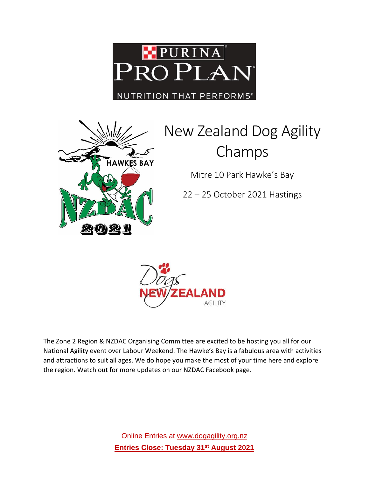



# New Zealand Dog Agility Champs

Mitre 10 Park Hawke's Bay

22 – 25 October 2021 Hastings



The Zone 2 Region & NZDAC Organising Committee are excited to be hosting you all for our National Agility event over Labour Weekend. The Hawke's Bay is a fabulous area with activities and attractions to suit all ages. We do hope you make the most of your time here and explore the region. Watch out for more updates on our NZDAC Facebook page.

> Online Entries at [www.dogagility.org.nz](http://www.dogagility.org.nz/) **Entries Close: Tuesday 31st August 2021**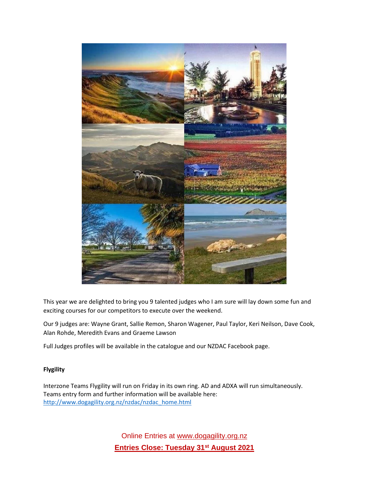

This year we are delighted to bring you 9 talented judges who I am sure will lay down some fun and exciting courses for our competitors to execute over the weekend.

Our 9 judges are: Wayne Grant, Sallie Remon, Sharon Wagener, Paul Taylor, Keri Neilson, Dave Cook, Alan Rohde, Meredith Evans and Graeme Lawson

Full Judges profiles will be available in the catalogue and our NZDAC Facebook page.

# **Flygility**

Interzone Teams Flygility will run on Friday in its own ring. AD and ADXA will run simultaneously. Teams entry form and further information will be available here: [http://www.dogagility.org.nz/nzdac/nzdac\\_home.html](http://www.dogagility.org.nz/nzdac/nzdac_home.html)

> Online Entries at [www.dogagility.org.nz](http://www.dogagility.org.nz/) **Entries Close: Tuesday 31st August 2021**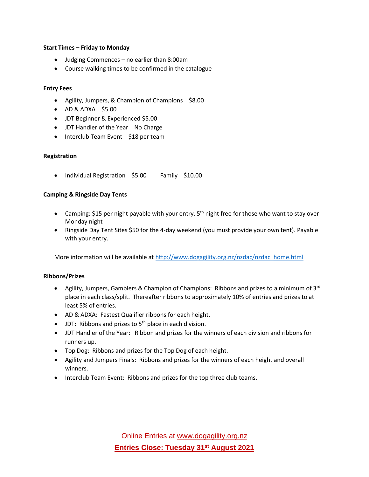#### **Start Times – Friday to Monday**

- Judging Commences no earlier than 8:00am
- Course walking times to be confirmed in the catalogue

#### **Entry Fees**

- Agility, Jumpers, & Champion of Champions \$8.00
- AD & ADXA \$5.00
- JDT Beginner & Experienced \$5.00
- JDT Handler of the Year No Charge
- Interclub Team Event \$18 per team

#### **Registration**

• Individual Registration \$5.00 Family \$10.00

#### **Camping & Ringside Day Tents**

- Camping: \$15 per night payable with your entry.  $5<sup>th</sup>$  night free for those who want to stay over Monday night
- Ringside Day Tent Sites \$50 for the 4-day weekend (you must provide your own tent). Payable with your entry.

More information will be available at [http://www.dogagility.org.nz/nzdac/nzdac\\_home.html](http://www.dogagility.org.nz/nzdac/nzdac_home.html)

#### **Ribbons/Prizes**

- Agility, Jumpers, Gamblers & Champion of Champions: Ribbons and prizes to a minimum of 3<sup>rd</sup> place in each class/split. Thereafter ribbons to approximately 10% of entries and prizes to at least 5% of entries.
- AD & ADXA: Fastest Qualifier ribbons for each height.
- JDT: Ribbons and prizes to  $5<sup>th</sup>$  place in each division.
- JDT Handler of the Year: Ribbon and prizes for the winners of each division and ribbons for runners up.
- Top Dog: Ribbons and prizes for the Top Dog of each height.
- Agility and Jumpers Finals: Ribbons and prizes for the winners of each height and overall winners.
- Interclub Team Event: Ribbons and prizes for the top three club teams.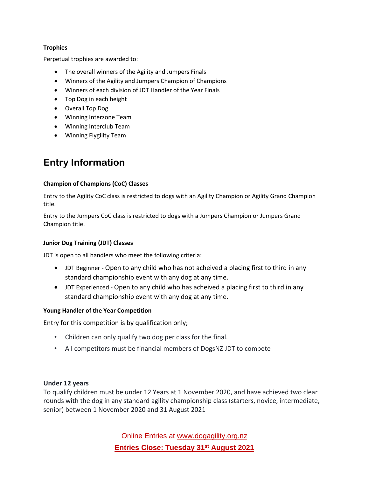#### **Trophies**

Perpetual trophies are awarded to:

- The overall winners of the Agility and Jumpers Finals
- Winners of the Agility and Jumpers Champion of Champions
- Winners of each division of JDT Handler of the Year Finals
- Top Dog in each height
- Overall Top Dog
- Winning Interzone Team
- Winning Interclub Team
- Winning Flygility Team

# **Entry Information**

#### **Champion of Champions (CoC) Classes**

Entry to the Agility CoC class is restricted to dogs with an Agility Champion or Agility Grand Champion title.

Entry to the Jumpers CoC class is restricted to dogs with a Jumpers Champion or Jumpers Grand Champion title.

# **Junior Dog Training (JDT) Classes**

JDT is open to all handlers who meet the following criteria:

- JDT Beginner Open to any child who has not acheived a placing first to third in any standard championship event with any dog at any time.
- JDT Experienced Open to any child who has acheived a placing first to third in any standard championship event with any dog at any time.

# **Young Handler of the Year Competition**

Entry for this competition is by qualification only;

- Children can only qualify two dog per class for the final.
- All competitors must be financial members of DogsNZ JDT to compete

# **Under 12 years**

To qualify children must be under 12 Years at 1 November 2020, and have achieved two clear rounds with the dog in any standard agility championship class (starters, novice, intermediate, senior) between 1 November 2020 and 31 August 2021

> Online Entries at [www.dogagility.org.nz](http://www.dogagility.org.nz/) **Entries Close: Tuesday 31st August 2021**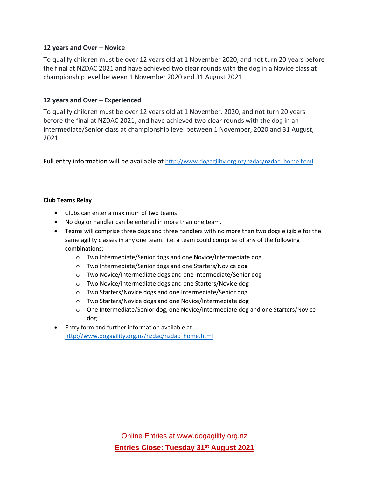# **12 years and Over – Novice**

To qualify children must be over 12 years old at 1 November 2020, and not turn 20 years before the final at NZDAC 2021 and have achieved two clear rounds with the dog in a Novice class at championship level between 1 November 2020 and 31 August 2021.

# **12 years and Over – Experienced**

To qualify children must be over 12 years old at 1 November, 2020, and not turn 20 years before the final at NZDAC 2021, and have achieved two clear rounds with the dog in an Intermediate/Senior class at championship level between 1 November, 2020 and 31 August, 2021.

Full entry information will be available at [http://www.dogagility.org.nz/nzdac/nzdac\\_home.html](http://www.dogagility.org.nz/nzdac/nzdac_home.html)

# **Club Teams Relay**

- Clubs can enter a maximum of two teams
- No dog or handler can be entered in more than one team.
- Teams will comprise three dogs and three handlers with no more than two dogs eligible for the same agility classes in any one team. i.e. a team could comprise of any of the following combinations:
	- o Two Intermediate/Senior dogs and one Novice/Intermediate dog
	- o Two Intermediate/Senior dogs and one Starters/Novice dog
	- o Two Novice/Intermediate dogs and one Intermediate/Senior dog
	- o Two Novice/Intermediate dogs and one Starters/Novice dog
	- o Two Starters/Novice dogs and one Intermediate/Senior dog
	- o Two Starters/Novice dogs and one Novice/Intermediate dog
	- o One Intermediate/Senior dog, one Novice/Intermediate dog and one Starters/Novice dog
- Entry form and further information available at [http://www.dogagility.org.nz/nzdac/nzdac\\_home.html](http://www.dogagility.org.nz/nzdac/nzdac_home.html)